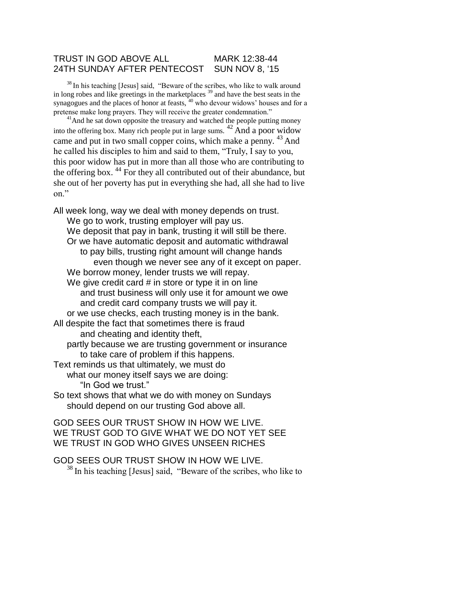## TRUST IN GOD ABOVE ALL MARK 12:38-44 24TH SUNDAY AFTER PENTECOST SUN NOV 8, '15

 $38$  In his teaching [Jesus] said, "Beware of the scribes, who like to walk around in long robes and like greetings in the marketplaces  $39$  and have the best seats in the synagogues and the places of honor at feasts,  $40$  who devour widows' houses and for a pretense make long prayers. They will receive the greater condemnation."

<sup>41</sup>And he sat down opposite the treasury and watched the people putting money into the offering box. Many rich people put in large sums.  $^{42}$  And a poor widow came and put in two small copper coins, which make a penny.  $43$  And he called his disciples to him and said to them, "Truly, I say to you, this poor widow has put in more than all those who are contributing to the offering box.  $44$  For they all contributed out of their abundance, but she out of her poverty has put in everything she had, all she had to live on."

All week long, way we deal with money depends on trust. We go to work, trusting employer will pay us. We deposit that pay in bank, trusting it will still be there. Or we have automatic deposit and automatic withdrawal to pay bills, trusting right amount will change hands even though we never see any of it except on paper. We borrow money, lender trusts we will repay. We give credit card  $#$  in store or type it in on line and trust business will only use it for amount we owe and credit card company trusts we will pay it. or we use checks, each trusting money is in the bank. All despite the fact that sometimes there is fraud and cheating and identity theft, partly because we are trusting government or insurance to take care of problem if this happens. Text reminds us that ultimately, we must do what our money itself says we are doing: "In God we trust." So text shows that what we do with money on Sundays should depend on our trusting God above all.

GOD SEES OUR TRUST SHOW IN HOW WE LIVE. WE TRUST GOD TO GIVE WHAT WE DO NOT YET SEE WE TRUST IN GOD WHO GIVES UNSEEN RICHES

GOD SEES OUR TRUST SHOW IN HOW WE LIVE.  $38$  In his teaching [Jesus] said, "Beware of the scribes, who like to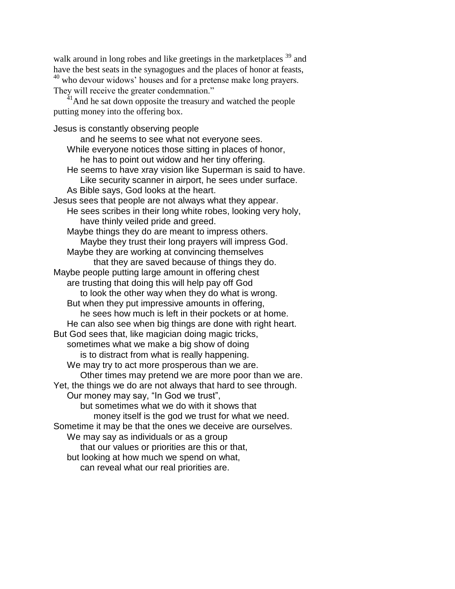walk around in long robes and like greetings in the marketplaces <sup>39</sup> and have the best seats in the synagogues and the places of honor at feasts, <sup>40</sup> who devour widows' houses and for a pretense make long prayers. They will receive the greater condemnation."

 $41$ And he sat down opposite the treasury and watched the people putting money into the offering box.

Jesus is constantly observing people and he seems to see what not everyone sees. While everyone notices those sitting in places of honor, he has to point out widow and her tiny offering. He seems to have xray vision like Superman is said to have. Like security scanner in airport, he sees under surface. As Bible says, God looks at the heart. Jesus sees that people are not always what they appear. He sees scribes in their long white robes, looking very holy, have thinly veiled pride and greed. Maybe things they do are meant to impress others. Maybe they trust their long prayers will impress God. Maybe they are working at convincing themselves that they are saved because of things they do. Maybe people putting large amount in offering chest are trusting that doing this will help pay off God to look the other way when they do what is wrong. But when they put impressive amounts in offering, he sees how much is left in their pockets or at home. He can also see when big things are done with right heart. But God sees that, like magician doing magic tricks, sometimes what we make a big show of doing is to distract from what is really happening. We may try to act more prosperous than we are. Other times may pretend we are more poor than we are. Yet, the things we do are not always that hard to see through. Our money may say, "In God we trust", but sometimes what we do with it shows that money itself is the god we trust for what we need. Sometime it may be that the ones we deceive are ourselves. We may say as individuals or as a group that our values or priorities are this or that, but looking at how much we spend on what, can reveal what our real priorities are.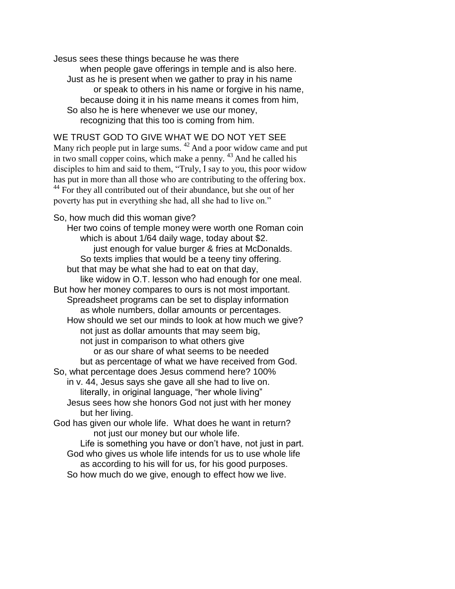Jesus sees these things because he was there when people gave offerings in temple and is also here. Just as he is present when we gather to pray in his name or speak to others in his name or forgive in his name, because doing it in his name means it comes from him, So also he is here whenever we use our money, recognizing that this too is coming from him.

WE TRUST GOD TO GIVE WHAT WE DO NOT YET SEE

Many rich people put in large sums. <sup>42</sup> And a poor widow came and put in two small copper coins, which make a penny.  $43$  And he called his disciples to him and said to them, "Truly, I say to you, this poor widow has put in more than all those who are contributing to the offering box. <sup>44</sup> For they all contributed out of their abundance, but she out of her poverty has put in everything she had, all she had to live on."

So, how much did this woman give?

Her two coins of temple money were worth one Roman coin which is about 1/64 daily wage, today about \$2. just enough for value burger & fries at McDonalds. So texts implies that would be a teeny tiny offering. but that may be what she had to eat on that day, like widow in O.T. lesson who had enough for one meal. But how her money compares to ours is not most important. Spreadsheet programs can be set to display information as whole numbers, dollar amounts or percentages. How should we set our minds to look at how much we give? not just as dollar amounts that may seem big, not just in comparison to what others give or as our share of what seems to be needed but as percentage of what we have received from God. So, what percentage does Jesus commend here? 100% in v. 44, Jesus says she gave all she had to live on. literally, in original language, "her whole living" Jesus sees how she honors God not just with her money but her living. God has given our whole life. What does he want in return? not just our money but our whole life. Life is something you have or don't have, not just in part. God who gives us whole life intends for us to use whole life as according to his will for us, for his good purposes.

So how much do we give, enough to effect how we live.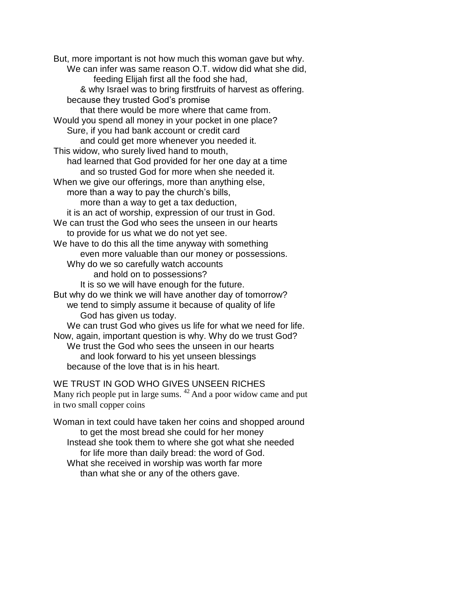But, more important is not how much this woman gave but why. We can infer was same reason O.T. widow did what she did, feeding Elijah first all the food she had, & why Israel was to bring firstfruits of harvest as offering. because they trusted God's promise that there would be more where that came from. Would you spend all money in your pocket in one place? Sure, if you had bank account or credit card and could get more whenever you needed it. This widow, who surely lived hand to mouth, had learned that God provided for her one day at a time and so trusted God for more when she needed it. When we give our offerings, more than anything else, more than a way to pay the church's bills, more than a way to get a tax deduction, it is an act of worship, expression of our trust in God. We can trust the God who sees the unseen in our hearts to provide for us what we do not yet see. We have to do this all the time anyway with something even more valuable than our money or possessions. Why do we so carefully watch accounts and hold on to possessions? It is so we will have enough for the future. But why do we think we will have another day of tomorrow? we tend to simply assume it because of quality of life God has given us today. We can trust God who gives us life for what we need for life. Now, again, important question is why. Why do we trust God? We trust the God who sees the unseen in our hearts and look forward to his yet unseen blessings because of the love that is in his heart.

WE TRUST IN GOD WHO GIVES UNSEEN RICHES Many rich people put in large sums. <sup>42</sup> And a poor widow came and put in two small copper coins

Woman in text could have taken her coins and shopped around to get the most bread she could for her money Instead she took them to where she got what she needed for life more than daily bread: the word of God. What she received in worship was worth far more than what she or any of the others gave.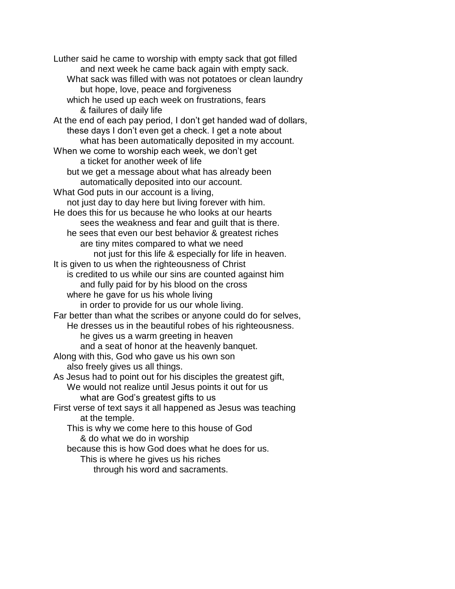Luther said he came to worship with empty sack that got filled and next week he came back again with empty sack. What sack was filled with was not potatoes or clean laundry but hope, love, peace and forgiveness which he used up each week on frustrations, fears & failures of daily life At the end of each pay period, I don't get handed wad of dollars, these days I don't even get a check. I get a note about what has been automatically deposited in my account. When we come to worship each week, we don't get a ticket for another week of life but we get a message about what has already been automatically deposited into our account. What God puts in our account is a living, not just day to day here but living forever with him. He does this for us because he who looks at our hearts sees the weakness and fear and guilt that is there. he sees that even our best behavior & greatest riches are tiny mites compared to what we need not just for this life & especially for life in heaven. It is given to us when the righteousness of Christ is credited to us while our sins are counted against him and fully paid for by his blood on the cross where he gave for us his whole living in order to provide for us our whole living. Far better than what the scribes or anyone could do for selves, He dresses us in the beautiful robes of his righteousness. he gives us a warm greeting in heaven and a seat of honor at the heavenly banquet. Along with this, God who gave us his own son also freely gives us all things. As Jesus had to point out for his disciples the greatest gift, We would not realize until Jesus points it out for us what are God's greatest gifts to us First verse of text says it all happened as Jesus was teaching at the temple. This is why we come here to this house of God & do what we do in worship because this is how God does what he does for us. This is where he gives us his riches through his word and sacraments.